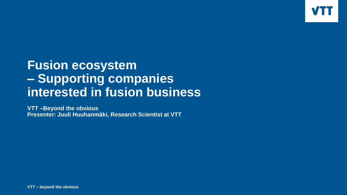

## **Fusion ecosystem – Supporting companies interested in fusion business**

**VTT –Beyond the obvious Presenter: Juuli Huuhanmäki, Research Scientist at VTT**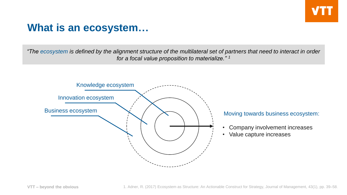#### **What is an ecosystem…**

*"The ecosystem is defined by the alignment structure of the multilateral set of partners that need to interact in order for a focal value proposition to materialize." <sup>1</sup>*



#### Moving towards business ecosystem:

- Company involvement increases
- Value capture increases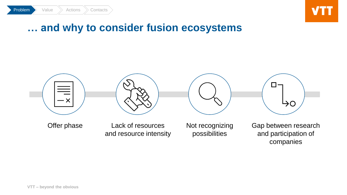



#### **… and why to consider fusion ecosystems**

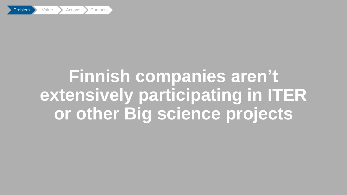

# **Finnish companies aren't extensively participating in ITER or other Big science projects**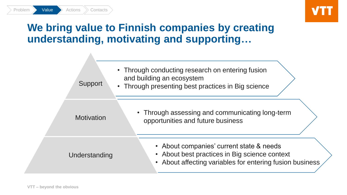

## **We bring value to Finnish companies by creating understanding, motivating and supporting…**

| Support           | • Through conducting research on entering fusion<br>and building an ecosystem<br>• Through presenting best practices in Big science                            |
|-------------------|----------------------------------------------------------------------------------------------------------------------------------------------------------------|
| <b>Motivation</b> | • Through assessing and communicating long-term<br>opportunities and future business                                                                           |
| Understanding     | • About companies' current state & needs<br>• About best practices in Big science context<br>• About affecting variables for entering fusion business $\angle$ |

 $Problem \rightarrow$  Value  $\rightarrow$  Actions  $\rightarrow$  Contacts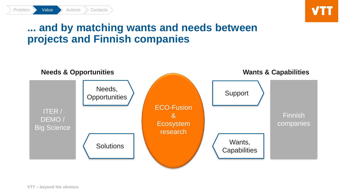#### **... and by matching wants and needs between projects and Finnish companies**



**VTT – beyond the obvious**

Problem **Value** Actions Contacts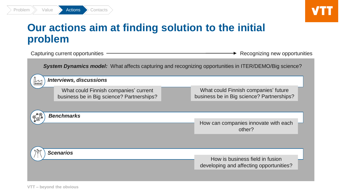

### **Our actions aim at finding solution to the initial problem**

|                                                                                                              | Capturing current opportunities                                                    | Recognizing new opportunities |                                                                                   |  |  |
|--------------------------------------------------------------------------------------------------------------|------------------------------------------------------------------------------------|-------------------------------|-----------------------------------------------------------------------------------|--|--|
| <b>System Dynamics model:</b> What affects capturing and recognizing opportunities in ITER/DEMO/Big science? |                                                                                    |                               |                                                                                   |  |  |
| $ $ ooo                                                                                                      | <b>Interviews, discussions</b>                                                     |                               |                                                                                   |  |  |
|                                                                                                              | What could Finnish companies' current<br>business be in Big science? Partnerships? |                               | What could Finnish companies' future<br>business be in Big science? Partnerships? |  |  |
|                                                                                                              |                                                                                    |                               |                                                                                   |  |  |
| <b>Benchmarks</b>                                                                                            |                                                                                    |                               | How can companies innovate with each<br>other?                                    |  |  |
|                                                                                                              |                                                                                    |                               |                                                                                   |  |  |
|                                                                                                              | <b>Scenarios</b>                                                                   |                               | How is business field in fusion                                                   |  |  |
|                                                                                                              |                                                                                    |                               | developing and affecting opportunities?                                           |  |  |
|                                                                                                              |                                                                                    |                               |                                                                                   |  |  |

Problem > Value > Actions > Contacts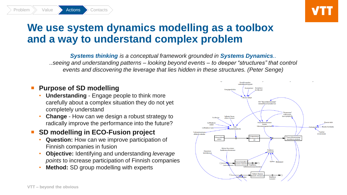### **We use system dynamics modelling as a toolbox and a way to understand complex problem**

*Systems thinking is a conceptual framework grounded in Systems Dynamics.. ..seeing and understanding patterns – looking beyond events – to deeper "structures" that control events and discovering the leverage that lies hidden in these structures. (Peter Senge)*

#### **Purpose of SD modelling**

Problem >> Value >> Actions >> Contacts

- **Understanding**  Engage people to think more carefully about a complex situation they do not yet completely understand
- **Change**  How can we design a robust strategy to radically improve the performance into the future?

#### **SD modelling in ECO-Fusion project**

- **Question:** How can we improve participation of Finnish companies in fusion
- **Objective:** Identifying and understanding *leverage points* to increase participation of Finnish companies
- **Method:** SD group modelling with experts

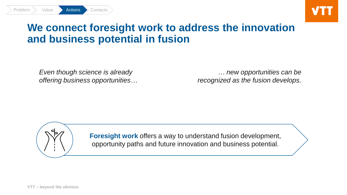

### **We connect foresight work to address the innovation and business potential in fusion**

*Even though science is already offering business opportunities…* 

*… new opportunities can be recognized as the fusion develops.*

Problem  $\gg$  Value  $\gg$  Actions  $\gg$  Contacts

**Foresight work** offers a way to understand fusion development, opportunity paths and future innovation and business potential.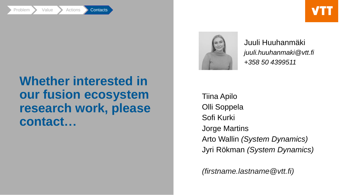

## **Whether interested in our fusion ecosystem research work, please contact…**



Juuli Huuhanmäki *juuli.huuhanmaki@vtt.fi +358 50 4399511*

Tiina Apilo Olli Soppela Sofi Kurki Jorge Martins Arto Wallin *(System Dynamics)* Jyri Rökman *(System Dynamics)*

*(firstname.lastname@vtt.fi)*